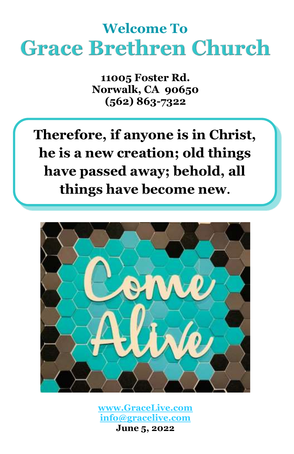# **Welcome To Grace Brethren Church**

**11005 Foster Rd. Norwalk, CA 90650 (562) 863-7322**

**Therefore, if anyone is in Christ, he is a new creation; old things have passed away; behold, all things have become new.**



**[www.GraceLive.com](http://www.gracelive.com/) [info@gracelive.com](mailto:info@gracelive.com) June 5, 2022**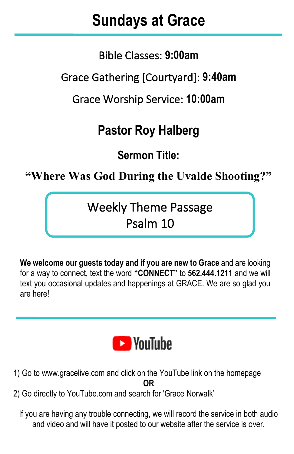## **Sundays at Grace**

I

Bible Classes: **9:00am**

Grace Gathering [Courtyard]: **9:40am**

Grace Worship Service: **10:00am**

## **Pastor Roy Halberg**

**Sermon Title:**

**"Where Was God During the Uvalde Shooting?"**

Weekly Theme Passage Psalm 10

**We welcome our guests today and if you are new to Grace** and are looking for a way to connect, text the word **"CONNECT"** to **562.444.1211** and we will text you occasional updates and happenings at GRACE. We are so glad you are here!



- 1) Go to [www.gracelive.com](https://mandrillapp.com/track/click/30119321/www.gracelive.com?p=eyJzIjoiVFlsX2d2Skp4NlhxZ2p4SURJd1BiQ3BjS2dNIiwidiI6MSwicCI6IntcInVcIjozMDExOTMyMSxcInZcIjoxLFwidXJsXCI6XCJodHRwOlxcXC9cXFwvd3d3LmdyYWNlbGl2ZS5jb21cIixcImlkXCI6XCI3ZDU3MmMyMmZkMmI0ZWJkYmQxODBiMWI4MTY1NDg0MlwiLFwidXJsX2lkc1wiOltcImUyMmY4ODVmYjE0YzEzNDBjMzk0N2UxN2E3MTRjYjZlNGI4ODE4N2VcIl19In0) and click on the YouTube link on the homepage **OR**
- 2) Go directly to YouTube.com and search for 'Grace Norwalk'

If you are having any trouble connecting, we will record the service in both audio and video and will have it posted to our website after the service is over.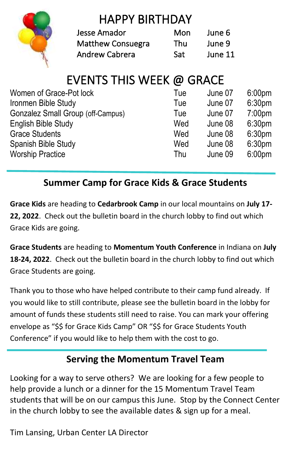

## HAPPY BIRTHDAY

| Jesse Amador             | Mon | June 6  |
|--------------------------|-----|---------|
| <b>Matthew Consuegra</b> | Thu | June 9  |
| <b>Andrew Cabrera</b>    | Sat | June 11 |

## EVENTS THIS WEEK @ GRACE

| Women of Grace-Pot lock           | Tue | June 07 | 6:00 <sub>pm</sub> |
|-----------------------------------|-----|---------|--------------------|
| Ironmen Bible Study               | Tue | June 07 | 6:30 <sub>pm</sub> |
| Gonzalez Small Group (off-Campus) | Tue | June 07 | 7:00 <sub>pm</sub> |
| English Bible Study               | Wed | June 08 | 6:30 <sub>pm</sub> |
| <b>Grace Students</b>             | Wed | June 08 | 6:30 <sub>pm</sub> |
| Spanish Bible Study               | Wed | June 08 | 6:30 <sub>pm</sub> |
| <b>Worship Practice</b>           | Thu | June 09 | 6:00 <sub>pm</sub> |

### **Summer Camp for Grace Kids & Grace Students**

**Grace Kids** are heading to **Cedarbrook Camp** in our local mountains on **July 17- 22, 2022**. Check out the bulletin board in the church lobby to find out which Grace Kids are going.

**Grace Students** are heading to **Momentum Youth Conference** in Indiana on **July 18-24, 2022**. Check out the bulletin board in the church lobby to find out which Grace Students are going.

Thank you to those who have helped contribute to their camp fund already. If you would like to still contribute, please see the bulletin board in the lobby for amount of funds these students still need to raise. You can mark your offering envelope as "\$\$ for Grace Kids Camp" OR "\$\$ for Grace Students Youth Conference" if you would like to help them with the cost to go.

#### **Serving the Momentum Travel Team**

Looking for a way to serve others? We are looking for a few people to help provide a lunch or a dinner for the 15 Momentum Travel Team students that will be on our campus this June. Stop by the Connect Center in the church lobby to see the available dates & sign up for a meal.

Tim Lansing, Urban Center LA Director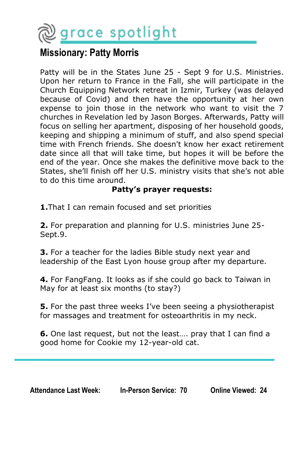

#### **Missionary: Patty Morris**

Patty will be in the States June 25 - Sept 9 for U.S. Ministries. Upon her return to France in the Fall, she will participate in the Church Equipping Network retreat in Izmir, Turkey (was delayed because of Covid) and then have the opportunity at her own expense to join those in the network who want to visit the 7 churches in Revelation led by Jason Borges. Afterwards, Patty will focus on selling her apartment, disposing of her household goods, keeping and shipping a minimum of stuff, and also spend special time with French friends. She doesn't know her exact retirement date since all that will take time, but hopes it will be before the end of the year. Once she makes the definitive move back to the States, she'll finish off her U.S. ministry visits that she's not able to do this time around.

#### **Patty's prayer requests:**

**1.**That I can remain focused and set priorities

**2.** For preparation and planning for U.S. ministries June 25- Sept.9.

**3.** For a teacher for the ladies Bible study next year and leadership of the East Lyon house group after my departure.

**4.** For FangFang. It looks as if she could go back to Taiwan in May for at least six months (to stay?)

**5.** For the past three weeks I've been seeing a physiotherapist for massages and treatment for osteoarthritis in my neck.

**6.** One last request, but not the least…. pray that I can find a good home for Cookie my 12-year-old cat.

| <b>Attendance Last Week:</b> | <b>In-Person Service: 70</b> | <b>Online Viewed: 24</b> |
|------------------------------|------------------------------|--------------------------|
|------------------------------|------------------------------|--------------------------|